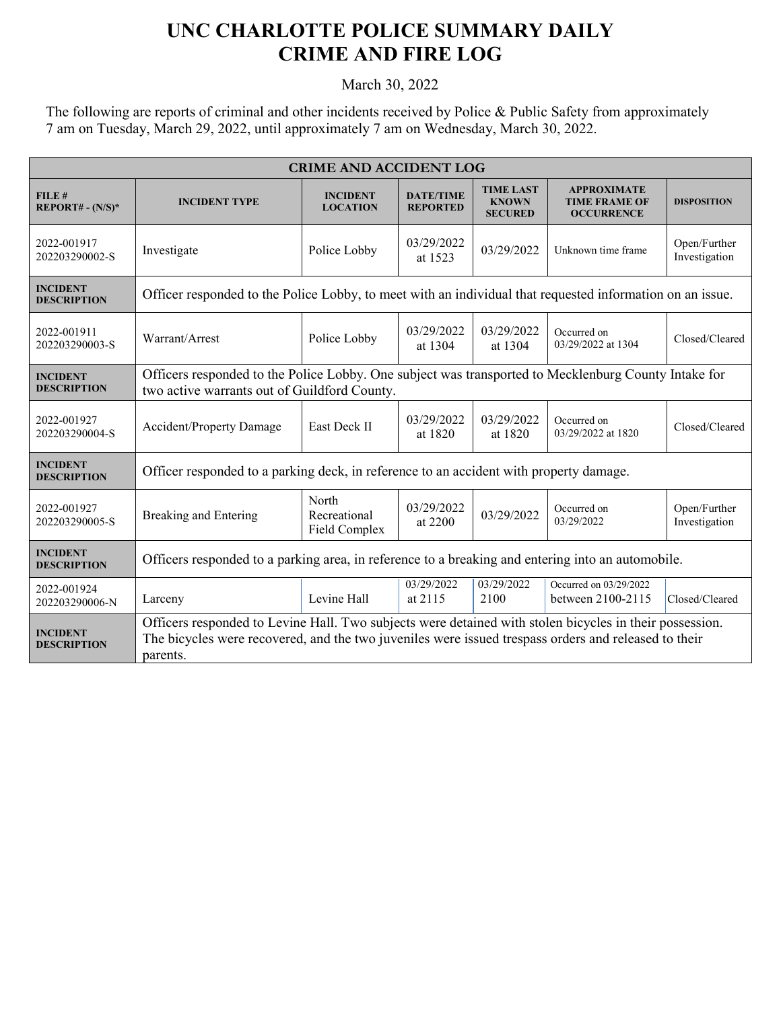## **UNC CHARLOTTE POLICE SUMMARY DAILY CRIME AND FIRE LOG**

March 30, 2022

The following are reports of criminal and other incidents received by Police & Public Safety from approximately 7 am on Tuesday, March 29, 2022, until approximately 7 am on Wednesday, March 30, 2022.

| <b>CRIME AND ACCIDENT LOG</b>         |                                                                                                                                                                                                                             |                                        |                                     |                                                    |                                                                 |                               |
|---------------------------------------|-----------------------------------------------------------------------------------------------------------------------------------------------------------------------------------------------------------------------------|----------------------------------------|-------------------------------------|----------------------------------------------------|-----------------------------------------------------------------|-------------------------------|
| FILE#<br>$REPORT# - (N/S)*$           | <b>INCIDENT TYPE</b>                                                                                                                                                                                                        | <b>INCIDENT</b><br><b>LOCATION</b>     | <b>DATE/TIME</b><br><b>REPORTED</b> | <b>TIME LAST</b><br><b>KNOWN</b><br><b>SECURED</b> | <b>APPROXIMATE</b><br><b>TIME FRAME OF</b><br><b>OCCURRENCE</b> | <b>DISPOSITION</b>            |
| 2022-001917<br>202203290002-S         | Investigate                                                                                                                                                                                                                 | Police Lobby                           | 03/29/2022<br>at 1523               | 03/29/2022                                         | Unknown time frame                                              | Open/Further<br>Investigation |
| <b>INCIDENT</b><br><b>DESCRIPTION</b> | Officer responded to the Police Lobby, to meet with an individual that requested information on an issue.                                                                                                                   |                                        |                                     |                                                    |                                                                 |                               |
| 2022-001911<br>202203290003-S         | Warrant/Arrest                                                                                                                                                                                                              | Police Lobby                           | 03/29/2022<br>at 1304               | 03/29/2022<br>at 1304                              | Occurred on<br>03/29/2022 at 1304                               | Closed/Cleared                |
| <b>INCIDENT</b><br><b>DESCRIPTION</b> | Officers responded to the Police Lobby. One subject was transported to Mecklenburg County Intake for<br>two active warrants out of Guildford County.                                                                        |                                        |                                     |                                                    |                                                                 |                               |
| 2022-001927<br>202203290004-S         | <b>Accident/Property Damage</b>                                                                                                                                                                                             | East Deck II                           | 03/29/2022<br>at 1820               | 03/29/2022<br>at 1820                              | Occurred on<br>03/29/2022 at 1820                               | Closed/Cleared                |
| <b>INCIDENT</b><br><b>DESCRIPTION</b> | Officer responded to a parking deck, in reference to an accident with property damage.                                                                                                                                      |                                        |                                     |                                                    |                                                                 |                               |
| 2022-001927<br>202203290005-S         | Breaking and Entering                                                                                                                                                                                                       | North<br>Recreational<br>Field Complex | 03/29/2022<br>at 2200               | 03/29/2022                                         | Occurred on<br>03/29/2022                                       | Open/Further<br>Investigation |
| <b>INCIDENT</b><br><b>DESCRIPTION</b> | Officers responded to a parking area, in reference to a breaking and entering into an automobile.                                                                                                                           |                                        |                                     |                                                    |                                                                 |                               |
| 2022-001924<br>202203290006-N         | Larceny                                                                                                                                                                                                                     | Levine Hall                            | 03/29/2022<br>at 2115               | 03/29/2022<br>2100                                 | Occurred on 03/29/2022<br>between 2100-2115                     | Closed/Cleared                |
| <b>INCIDENT</b><br><b>DESCRIPTION</b> | Officers responded to Levine Hall. Two subjects were detained with stolen bicycles in their possession.<br>The bicycles were recovered, and the two juveniles were issued trespass orders and released to their<br>parents. |                                        |                                     |                                                    |                                                                 |                               |